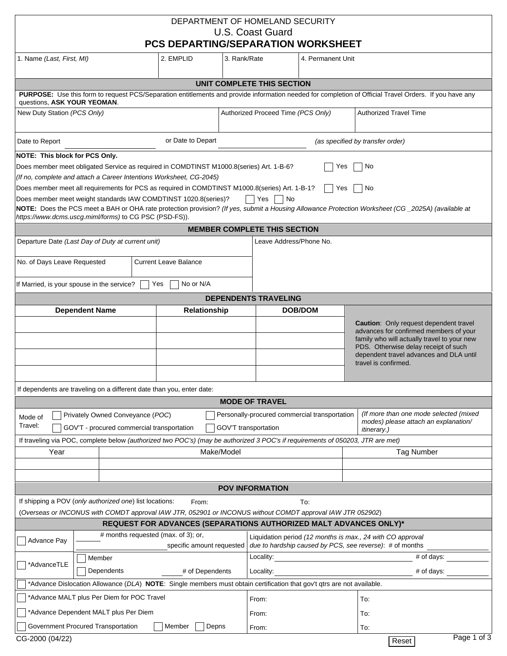| DEPARTMENT OF HOMELAND SECURITY<br>U.S. Coast Guard<br><b>PCS DEPARTING/SEPARATION WORKSHEET</b>                                                                                                                                                                                                                                                                                                                                                                                                                                                                                                                             |                                           |                     |                                                                     |                                                                                                                                                       |         |                                                                                                                                                                                                                                            |                   |  |
|------------------------------------------------------------------------------------------------------------------------------------------------------------------------------------------------------------------------------------------------------------------------------------------------------------------------------------------------------------------------------------------------------------------------------------------------------------------------------------------------------------------------------------------------------------------------------------------------------------------------------|-------------------------------------------|---------------------|---------------------------------------------------------------------|-------------------------------------------------------------------------------------------------------------------------------------------------------|---------|--------------------------------------------------------------------------------------------------------------------------------------------------------------------------------------------------------------------------------------------|-------------------|--|
| 1. Name (Last, First, MI)                                                                                                                                                                                                                                                                                                                                                                                                                                                                                                                                                                                                    | 2. EMPLID<br>3. Rank/Rate                 |                     |                                                                     | 4. Permanent Unit                                                                                                                                     |         |                                                                                                                                                                                                                                            |                   |  |
|                                                                                                                                                                                                                                                                                                                                                                                                                                                                                                                                                                                                                              |                                           |                     |                                                                     | UNIT COMPLETE THIS SECTION                                                                                                                            |         |                                                                                                                                                                                                                                            |                   |  |
| PURPOSE: Use this form to request PCS/Separation entitlements and provide information needed for completion of Official Travel Orders. If you have any<br>questions, ASK YOUR YEOMAN.                                                                                                                                                                                                                                                                                                                                                                                                                                        |                                           |                     |                                                                     |                                                                                                                                                       |         |                                                                                                                                                                                                                                            |                   |  |
| New Duty Station (PCS Only)                                                                                                                                                                                                                                                                                                                                                                                                                                                                                                                                                                                                  |                                           |                     | <b>Authorized Travel Time</b><br>Authorized Proceed Time (PCS Only) |                                                                                                                                                       |         |                                                                                                                                                                                                                                            |                   |  |
| or Date to Depart<br>Date to Report                                                                                                                                                                                                                                                                                                                                                                                                                                                                                                                                                                                          |                                           |                     |                                                                     | (as specified by transfer order)                                                                                                                      |         |                                                                                                                                                                                                                                            |                   |  |
| NOTE: This block for PCS Only.<br>Does member meet obligated Service as required in COMDTINST M1000.8(series) Art. 1-B-6?<br>Yes<br>No<br>(If no, complete and attach a Career Intentions Worksheet, CG-2045)<br>Does member meet all requirements for PCS as required in COMDTINST M1000.8(series) Art. 1-B-1?<br>Yes<br>No<br>Does member meet weight standards IAW COMDTINST 1020.8(series)?<br>Yes     No<br>NOTE: Does the PCS meet a BAH or OHA rate protection provision? (If yes, submit a Housing Allowance Protection Worksheet (CG_2025A) (available at<br>https://www.dcms.uscg.miml/forms) to CG PSC (PSD-FS)). |                                           |                     |                                                                     |                                                                                                                                                       |         |                                                                                                                                                                                                                                            |                   |  |
|                                                                                                                                                                                                                                                                                                                                                                                                                                                                                                                                                                                                                              |                                           |                     |                                                                     | <b>MEMBER COMPLETE THIS SECTION</b>                                                                                                                   |         |                                                                                                                                                                                                                                            |                   |  |
| Departure Date (Last Day of Duty at current unit)<br>No. of Days Leave Requested<br>If Married, is your spouse in the service?                                                                                                                                                                                                                                                                                                                                                                                                                                                                                               | <b>Current Leave Balance</b><br>No or N/A |                     |                                                                     | Leave Address/Phone No.                                                                                                                               |         |                                                                                                                                                                                                                                            |                   |  |
|                                                                                                                                                                                                                                                                                                                                                                                                                                                                                                                                                                                                                              |                                           | Yes                 |                                                                     |                                                                                                                                                       |         |                                                                                                                                                                                                                                            |                   |  |
| <b>Dependent Name</b>                                                                                                                                                                                                                                                                                                                                                                                                                                                                                                                                                                                                        |                                           | <b>Relationship</b> |                                                                     | <b>DEPENDENTS TRAVELING</b>                                                                                                                           | DOB/DOM |                                                                                                                                                                                                                                            |                   |  |
|                                                                                                                                                                                                                                                                                                                                                                                                                                                                                                                                                                                                                              |                                           |                     |                                                                     |                                                                                                                                                       |         | Caution: Only request dependent travel<br>advances for confirmed members of your<br>family who will actually travel to your new<br>PDS. Otherwise delay receipt of such<br>dependent travel advances and DLA until<br>travel is confirmed. |                   |  |
| If dependents are traveling on a different date than you, enter date:                                                                                                                                                                                                                                                                                                                                                                                                                                                                                                                                                        |                                           |                     |                                                                     |                                                                                                                                                       |         |                                                                                                                                                                                                                                            |                   |  |
|                                                                                                                                                                                                                                                                                                                                                                                                                                                                                                                                                                                                                              |                                           |                     |                                                                     | <b>MODE OF TRAVEL</b>                                                                                                                                 |         |                                                                                                                                                                                                                                            |                   |  |
| Privately Owned Conveyance (POC)<br>Mode of<br>Travel:<br>GOV'T - procured commercial transportation<br>GOV'T transportation                                                                                                                                                                                                                                                                                                                                                                                                                                                                                                 |                                           |                     |                                                                     | (If more than one mode selected (mixed<br>Personally-procured commercial transportation<br>modes) please attach an explanation/<br><i>itinerary.)</i> |         |                                                                                                                                                                                                                                            |                   |  |
| If traveling via POC, complete below (authorized two POC's) (may be authorized 3 POC's if requirements of 050203, JTR are met)<br>Make/Model                                                                                                                                                                                                                                                                                                                                                                                                                                                                                 |                                           |                     |                                                                     |                                                                                                                                                       |         |                                                                                                                                                                                                                                            |                   |  |
| Year                                                                                                                                                                                                                                                                                                                                                                                                                                                                                                                                                                                                                         |                                           |                     |                                                                     |                                                                                                                                                       |         |                                                                                                                                                                                                                                            | <b>Tag Number</b> |  |
|                                                                                                                                                                                                                                                                                                                                                                                                                                                                                                                                                                                                                              |                                           |                     |                                                                     |                                                                                                                                                       |         |                                                                                                                                                                                                                                            |                   |  |
|                                                                                                                                                                                                                                                                                                                                                                                                                                                                                                                                                                                                                              |                                           |                     |                                                                     | <b>POV INFORMATION</b>                                                                                                                                |         |                                                                                                                                                                                                                                            |                   |  |
| If shipping a POV (only authorized one) list locations:                                                                                                                                                                                                                                                                                                                                                                                                                                                                                                                                                                      |                                           | From:               |                                                                     |                                                                                                                                                       | To:     |                                                                                                                                                                                                                                            |                   |  |
| (Overseas or INCONUS with COMDT approval IAW JTR, 052901 or INCONUS without COMDT approval IAW JTR 052902)                                                                                                                                                                                                                                                                                                                                                                                                                                                                                                                   |                                           |                     |                                                                     |                                                                                                                                                       |         |                                                                                                                                                                                                                                            |                   |  |
| REQUEST FOR ADVANCES (SEPARATIONS AUTHORIZED MALT ADVANCES ONLY)*                                                                                                                                                                                                                                                                                                                                                                                                                                                                                                                                                            |                                           |                     |                                                                     |                                                                                                                                                       |         |                                                                                                                                                                                                                                            |                   |  |
| # months requested (max. of 3); or,<br>Liquidation period (12 months is max., 24 with CO approval<br>Advance Pay<br>due to hardship caused by PCS, see reverse): # of months<br>specific amount requested                                                                                                                                                                                                                                                                                                                                                                                                                    |                                           |                     |                                                                     |                                                                                                                                                       |         |                                                                                                                                                                                                                                            |                   |  |
| Member<br>*AdvanceTLE<br>Dependents<br># of Dependents                                                                                                                                                                                                                                                                                                                                                                                                                                                                                                                                                                       |                                           |                     |                                                                     | # of days:<br>Locality:                                                                                                                               |         |                                                                                                                                                                                                                                            |                   |  |
|                                                                                                                                                                                                                                                                                                                                                                                                                                                                                                                                                                                                                              |                                           |                     | # of days:<br>Locality:                                             |                                                                                                                                                       |         |                                                                                                                                                                                                                                            |                   |  |
| *Advance Dislocation Allowance (DLA) NOTE: Single members must obtain certification that gov't qtrs are not available.                                                                                                                                                                                                                                                                                                                                                                                                                                                                                                       |                                           |                     |                                                                     |                                                                                                                                                       |         |                                                                                                                                                                                                                                            |                   |  |
| *Advance MALT plus Per Diem for POC Travel                                                                                                                                                                                                                                                                                                                                                                                                                                                                                                                                                                                   |                                           |                     |                                                                     | From:                                                                                                                                                 | To:     |                                                                                                                                                                                                                                            |                   |  |
| *Advance Dependent MALT plus Per Diem                                                                                                                                                                                                                                                                                                                                                                                                                                                                                                                                                                                        |                                           |                     |                                                                     | From:                                                                                                                                                 |         | To:                                                                                                                                                                                                                                        |                   |  |
| Government Procured Transportation<br>Member<br>Depns                                                                                                                                                                                                                                                                                                                                                                                                                                                                                                                                                                        |                                           |                     |                                                                     | From:                                                                                                                                                 |         | To:                                                                                                                                                                                                                                        |                   |  |
| Page 1 of 3<br>CG-2000 (04/22)<br>Reset                                                                                                                                                                                                                                                                                                                                                                                                                                                                                                                                                                                      |                                           |                     |                                                                     |                                                                                                                                                       |         |                                                                                                                                                                                                                                            |                   |  |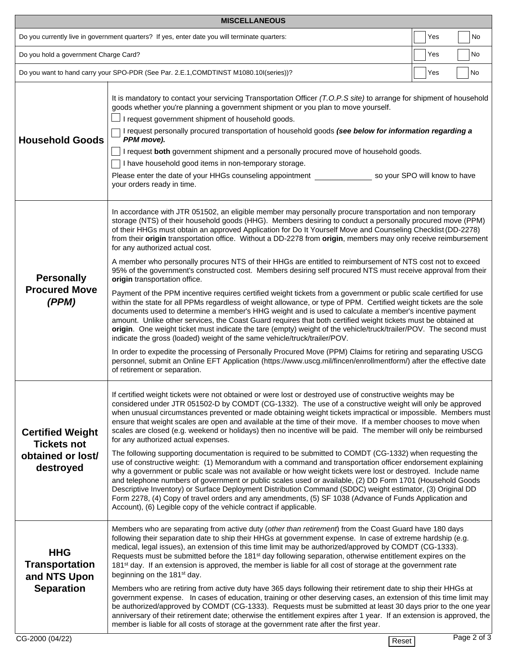| <b>MISCELLANEOUS</b>                                                                          |                                                                                                                                                                                                                                                                                                                                                                                                                                                                                                                                                                                                                                                                                                                                                                                                                                                                                                                                                                                                                                                                                                                                                                                                                                                                                                                                                                                                                                                                                                                                                                                                                                                                                                                 |    |             |  |  |  |
|-----------------------------------------------------------------------------------------------|-----------------------------------------------------------------------------------------------------------------------------------------------------------------------------------------------------------------------------------------------------------------------------------------------------------------------------------------------------------------------------------------------------------------------------------------------------------------------------------------------------------------------------------------------------------------------------------------------------------------------------------------------------------------------------------------------------------------------------------------------------------------------------------------------------------------------------------------------------------------------------------------------------------------------------------------------------------------------------------------------------------------------------------------------------------------------------------------------------------------------------------------------------------------------------------------------------------------------------------------------------------------------------------------------------------------------------------------------------------------------------------------------------------------------------------------------------------------------------------------------------------------------------------------------------------------------------------------------------------------------------------------------------------------------------------------------------------------|----|-------------|--|--|--|
| Do you currently live in government quarters? If yes, enter date you will terminate quarters: | Yes                                                                                                                                                                                                                                                                                                                                                                                                                                                                                                                                                                                                                                                                                                                                                                                                                                                                                                                                                                                                                                                                                                                                                                                                                                                                                                                                                                                                                                                                                                                                                                                                                                                                                                             | No |             |  |  |  |
| Do you hold a government Charge Card?                                                         | Yes                                                                                                                                                                                                                                                                                                                                                                                                                                                                                                                                                                                                                                                                                                                                                                                                                                                                                                                                                                                                                                                                                                                                                                                                                                                                                                                                                                                                                                                                                                                                                                                                                                                                                                             | No |             |  |  |  |
| Do you want to hand carry your SPO-PDR (See Par. 2.E.1, COMDTINST M1080.10l(series))?<br>Yes  |                                                                                                                                                                                                                                                                                                                                                                                                                                                                                                                                                                                                                                                                                                                                                                                                                                                                                                                                                                                                                                                                                                                                                                                                                                                                                                                                                                                                                                                                                                                                                                                                                                                                                                                 |    |             |  |  |  |
| <b>Household Goods</b>                                                                        | It is mandatory to contact your servicing Transportation Officer (T.O.P.S site) to arrange for shipment of household<br>goods whether you're planning a government shipment or you plan to move yourself.<br>I request government shipment of household goods.<br>I request personally procured transportation of household goods (see below for information regarding a<br>PPM move).<br>I request both government shipment and a personally procured move of household goods.<br>I have household good items in non-temporary storage.<br>Please enter the date of your HHGs counseling appointment states are so your SPO will know to have<br>your orders ready in time.                                                                                                                                                                                                                                                                                                                                                                                                                                                                                                                                                                                                                                                                                                                                                                                                                                                                                                                                                                                                                                    |    |             |  |  |  |
| <b>Personally</b><br><b>Procured Move</b><br>(PPM)                                            | In accordance with JTR 051502, an eligible member may personally procure transportation and non temporary<br>storage (NTS) of their household goods (HHG). Members desiring to conduct a personally procured move (PPM)<br>of their HHGs must obtain an approved Application for Do It Yourself Move and Counseling Checklist (DD-2278)<br>from their origin transportation office. Without a DD-2278 from origin, members may only receive reimbursement<br>for any authorized actual cost.<br>A member who personally procures NTS of their HHGs are entitled to reimbursement of NTS cost not to exceed<br>95% of the government's constructed cost. Members desiring self procured NTS must receive approval from their<br>origin transportation office.<br>Payment of the PPM incentive requires certified weight tickets from a government or public scale certified for use<br>within the state for all PPMs regardless of weight allowance, or type of PPM. Certified weight tickets are the sole<br>documents used to determine a member's HHG weight and is used to calculate a member's incentive payment<br>amount. Unlike other services, the Coast Guard requires that both certified weight tickets must be obtained at<br>origin. One weight ticket must indicate the tare (empty) weight of the vehicle/truck/trailer/POV. The second must<br>indicate the gross (loaded) weight of the same vehicle/truck/trailer/POV.<br>In order to expedite the processing of Personally Procured Move (PPM) Claims for retiring and separating USCG<br>personnel, submit an Online EFT Application (https://www.uscg.mil/fincen/enrollmentform/) after the effective date<br>of retirement or separation. |    |             |  |  |  |
| <b>Certified Weight</b><br><b>Tickets not</b><br>obtained or lost/<br>destroyed               | If certified weight tickets were not obtained or were lost or destroyed use of constructive weights may be<br>considered under JTR 051502-D by COMDT (CG-1332). The use of a constructive weight will only be approved<br>when unusual circumstances prevented or made obtaining weight tickets impractical or impossible. Members must<br>ensure that weight scales are open and available at the time of their move. If a member chooses to move when<br>scales are closed (e.g. weekend or holidays) then no incentive will be paid. The member will only be reimbursed<br>for any authorized actual expenses.<br>The following supporting documentation is required to be submitted to COMDT (CG-1332) when requesting the<br>use of constructive weight: (1) Memorandum with a command and transportation officer endorsement explaining<br>why a government or public scale was not available or how weight tickets were lost or destroyed. Include name<br>and telephone numbers of government or public scales used or available, (2) DD Form 1701 (Household Goods<br>Descriptive Inventory) or Surface Deployment Distribution Command (SDDC) weight estimator, (3) Original DD<br>Form 2278, (4) Copy of travel orders and any amendments, (5) SF 1038 (Advance of Funds Application and<br>Account), (6) Legible copy of the vehicle contract if applicable.                                                                                                                                                                                                                                                                                                                                        |    |             |  |  |  |
| <b>HHG</b><br><b>Transportation</b><br>and NTS Upon<br><b>Separation</b>                      | Members who are separating from active duty (other than retirement) from the Coast Guard have 180 days<br>following their separation date to ship their HHGs at government expense. In case of extreme hardship (e.g.<br>medical, legal issues), an extension of this time limit may be authorized/approved by COMDT (CG-1333).<br>Requests must be submitted before the 181 <sup>st</sup> day following separation, otherwise entitlement expires on the<br>181 <sup>st</sup> day. If an extension is approved, the member is liable for all cost of storage at the government rate<br>beginning on the 181 <sup>st</sup> day.<br>Members who are retiring from active duty have 365 days following their retirement date to ship their HHGs at<br>government expense. In cases of education, training or other deserving cases, an extension of this time limit may<br>be authorized/approved by COMDT (CG-1333). Requests must be submitted at least 30 days prior to the one year<br>anniversary of their retirement date; otherwise the entitlement expires after 1 year. If an extension is approved, the<br>member is liable for all costs of storage at the government rate after the first year.                                                                                                                                                                                                                                                                                                                                                                                                                                                                                                       |    |             |  |  |  |
| CG-2000 (04/22)                                                                               | Reset                                                                                                                                                                                                                                                                                                                                                                                                                                                                                                                                                                                                                                                                                                                                                                                                                                                                                                                                                                                                                                                                                                                                                                                                                                                                                                                                                                                                                                                                                                                                                                                                                                                                                                           |    | Page 2 of 3 |  |  |  |